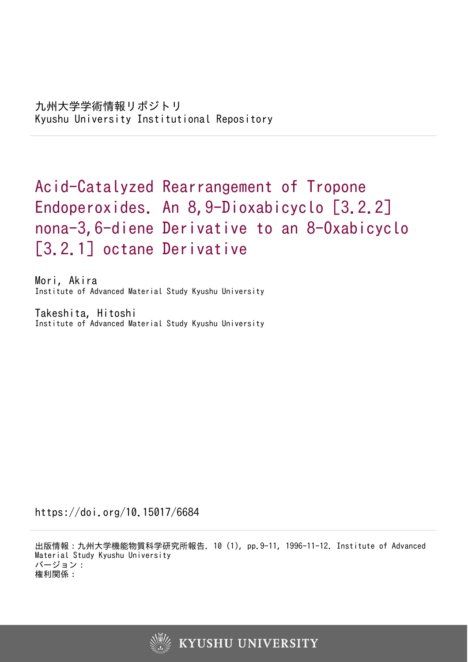# Acid-Catalyzed Rearrangement of Tropone Endoperoxides. An 8,9-Dioxabicyclo [3.2.2] nona-3,6-diene Derivative to an 8-Oxabicyclo [3.2.1] octane Derivative

Mori, Akira Institute of Advanced Material Study Kyushu University

Takeshita, Hitoshi Institute of Advanced Material Study Kyushu University

https://doi.org/10.15017/6684

出版情報:九州大学機能物質科学研究所報告. 10 (1), pp.9-11, 1996-11-12. Institute of Advanced Material Study Kyushu University バージョン: 権利関係:

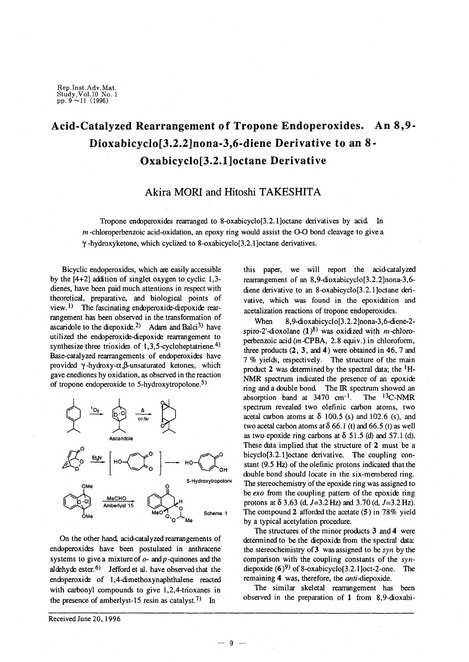Rep.Inst.Adv.Mat. Study,Vol.10 No. 1<br>pp. 9 ~11 (1996)

# **Acid-Catalyzed Rearrangement of Tropone Endoperoxides. An 8,9- Dioxabicyclo[3.2.2]nona-3,6-diene Derivative to an 8· Oxabicyclo[3.2.1]octane Derivative**

## **Akira MORI and Hitoshi TAKESHITA**

Tropone endoperoxides rearranged to 8-oxabicyclo[3.2.1]octane derivatives by acid In *m* -chloroperbenzoic acid-oxidation, an epoxy ring would assist the 0-0 bond cleavage to give a  $\gamma$ -hydroxyketone, which cyclized to 8-oxabicyclo[3.2.1]octane derivatives.

Bicyclic endoperoxides, which are easily accessible by the  $[4+2]$  addition of singlet oxygen to cyclic 1,3dienes, have been paid much attentions in respect with theoretical, preparative, and biological points of view.<sup>1)</sup> The fascinating endoperoxide-diepoxide rearrangement has been observed in the transformation of ascaridole to the diepoxide.<sup>2)</sup> Adam and Balci<sup>3</sup> have utilized the encbperoxide-diepoxide rearrangement to synthesize three trioxides of  $1,3,5$ -cycloheptatriene.<sup>4)</sup> Base-catalyzed rearrangements of endoperoxides have provided  $\gamma$ -hydroxy- $\alpha$ , $\beta$ -unsaturated ketones, which gave enediones by oxidation, as observed in the reaction of tropone endoperoxide to 5-hydroxytropolone.5)



On the other hand, acid-catalyzed rearrangements of encbperoxides have been postulated in anthracene systems to give a mixture of  $o$ - and  $p$ -quinones and the aldehyde ester.  $6$ ) Jefford et al. have observed that the encbperoxide of 1,4-dimethoxynaphthalene reacted with carbonyl compounds to give 1,2,4-trioxanes in the presence of amberlyst-15 resin as catalyst.<sup>7)</sup> In

Received June 20, 1996

this paper, we will report the acid-catalyzed rearrangement of an 8,9-dioxabicyclo[3.2.2]nona-3,6 diene derivative to an 8-oxabicyclo[3.2.1]octane derivative, which was found in the epoxidation and acetalization reactions of tropone endoperoxides.

When 8,9-dioxabicyclo<sup>[3.2.2]</sup>nona-3,6-diene-2spiro-2'-dioxolane  $(1)^{8}$  was oxidized with m-chloroperbenzoic acid (m-CPBA, 2.8 equiv.) in chloroform, three products (2, 3, and 4) were obtained in 46, 7 and 7 % yields, respectively. The structure of the main product 2 was determined by the spectral data; the  ${}^{1}H-$ NMR spectrum indicated the presence of an epoxide ring and a cbuble bond The IR spectrum showed an absorption band at  $3470 \text{ cm}^{-1}$ . The  $^{13}$ C-NMR spectrum revealed two olefinic carbon atoms, two acetal carbon atoms at  $\delta$  100.5 (s) and 102.6 (s), and two acetal carbon atoms at  $\delta$  66.1 (t) and 66.5 (t) as well as two epoxide ring carbons at  $\delta$  51.5 (d) and 57.1 (d). These data implied that the structure of 2 must be a bicyclo[3.2.1]octane derivative. The coupling constant (9.5 Hz) of the olefinic protons indicated that the double bond should locate in the six-membered ring. The stereochemistry of the epoxide ring was assigned to be *exo* from the coupling pattern of the epoxide ring protons at  $\delta$  3.63 (d, J=3.2 Hz) and 3.70 (d, J=3.2 Hz). The compound 2 afforded the acetate (5) in 78% yield by a typical acetylation procedure.

The structures of the minor products 3 and 4 were determined to be the diepoxide from the spectral data: the stereochemistry of 3 was assigned to be *syn* by the comparison with the coupling constants of the  $syn$ diepoxide  $(6)^9$  of 8-oxabicyclo[3.2.1]oct-2-one. The remaining 4 was, therefore, the *anti-diepoxide.*

The similar skeletal rearrangement has been observed in the preparation of 1 from 8,9-dioxabi-

-9-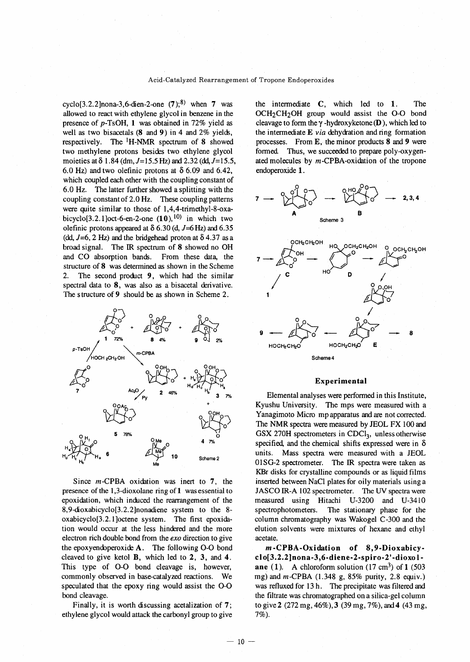cyclo<sup>[3.2.2]</sup>nona-3.6-dien-2-one  $(7)$ ;<sup>8)</sup> when 7 was allowed to react with ethylene glycol in benzene in the presence of p-TsOH, 1 was obtained in 72% yield as well as two bisacetals (8 and 9) in 4 and 2% yields, respectively. The 'H-NMR spectrum of 8 showed two methylene protons besides two ethylene glycol moieties at  $\delta$  1.84 (dm, J=15.5 Hz) and 2.32 (dd, J=15.5, 6.0 Hz) and two olefinic protons at  $\delta$  6.09 and 6.42, which coupled each other with the coupling constant of 6.0 Hz. The latter further showed a splitting with the coupling constant of 2.0 Hz. These coupling patterns were quite similar to those of 1,4,4-trimethyl-8-oxabicyclo<sup>[3.2.1]</sup>oct-6-en-2-one  $(10)$ ,<sup>10)</sup> in which two olefinic protons appeared at  $\delta$  6.30 (d, J=6 Hz) and 6.35 (dd,  $J=6$ , 2 Hz) and the bridgehead proton at  $\delta$  4.37 as a broad signal. The IR spectrum of 8 showed no OH and CO absorption bands. From these data, the structure of 8 was determined as shown in the Scheme 2. The second product 9, which had the similar spectral data to  $8$ , was also as a bisacetal derivative. The structure of 9 should be as shown in Scheme 2.



Since *m-CPBA* oxidation was inert to 7, the presence of the 1,3-dioxolane ring of 1 was essential to epoxidation, which induced the rearrangement of the 8,9-dioxabicyclo[3.2.2]nonadiene system to the 8 oxabicyclo[3.2.1]octene system. The first epoxidation would occur at the less hindered and the more electron rich double bond from the *exo* direction to give the epoxyendoperoxide  $A$ . The following O-O bond cleaved to give ketol  $B$ , which led to  $2$ ,  $3$ , and  $4$ . This type of 0-0 bond cleavage is, however, commonly observed in base-catalyzed reactions. We speculated that the epoxy ring would assist the 0-0 bond cleavage.

Finally, it is worth discussing acetalization of 7; ethylene glycol would attack the carbonyl group to give the intermediate C, which led to 1. The OCH<sub>2</sub>CH<sub>2</sub>OH group would assist the O-O bond cleavage to form the  $\gamma$ -hydroxyketone (D), which led to the intermediate  $E$  *via* dehydration and ring formation processes. From E, the minor products 8 and 9 were formed. Thus, we succeeded to prepare poly-oxygenated molecules by  $m$ -CPBA-oxidation of the tropone endoperoxide 1.



#### Experimental

Elemental analyses were performed in this Institute, Kyushu University. The mps were measured with a Yanagimoto Micro mp apparatus and are not corrected. The NMR spectra were measured by JEOL FX 100 and GSX 270H spectrometers in  $CDCl<sub>3</sub>$ , unless otherwise specified, and the chemical shifts expressed were in  $\delta$ units. Mass spectra were measured with a JEOL 01S0-2 spectrometer. The IR spectra were taken as KBr disks for crystalline compounds or as liquid films inserted between NaCI plates for oily materials using a JASCO IR-A 102 spectrometer. The UV spectra were measured using Hitachi U-3200 and U-341O spectrophotometers. The stationary phase for the column chromatography was Wakogel C-300 and the elution solvents were mixtures of hexane and ethyl acetate.

m-CPBA-Oxidation of 8,9-Dioxabicyclo[3.2.2]nona-3,6-diene-2-spiro-2'-dioxo lane (1). A chloroform solution  $(17 \text{ cm}^3)$  of 1 (503) mg) and *m-CPBA* (1.348 g, 85% purity, 2.8 equiv.) was refluxed for 13 h. The precipitate was filtered and the filtrate was chromatographed on a silica-gel column to give 2 (272 mg, 46%),3 (39 mg, 7%), and 4 (43 mg, 7%).